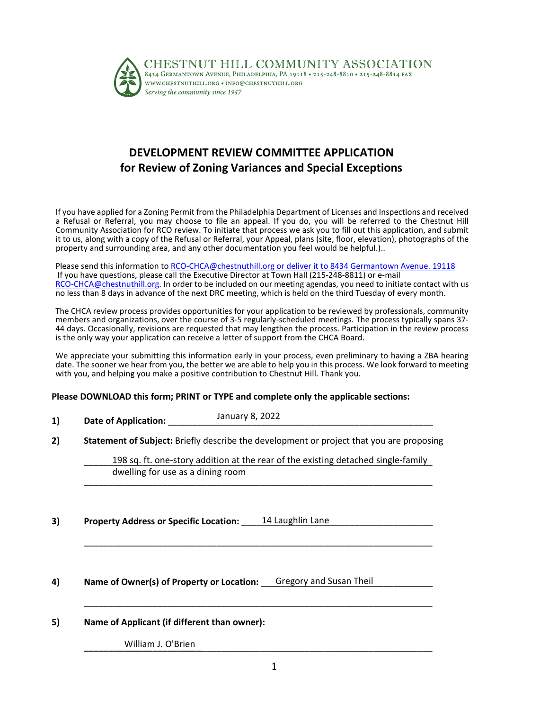

## **DEVELOPMENT REVIEW COMMITTEE APPLICATION for Review of Zoning Variances and Special Exceptions**

If you have applied for a Zoning Permit from the Philadelphia Department of Licenses and Inspections and received a Refusal or Referral, you may choose to file an appeal. If you do, you will be referred to the Chestnut Hill Community Association for RCO review. To initiate that process we ask you to fill out this application, and submit it to us, along with a copy of the Refusal or Referral, your Appeal, plans (site, floor, elevation), photographs of the property and surrounding area, and any other documentation you feel would be helpful.)..

Please send this information to [RCO-CHCA@chestnuthill.org](mailto:RCO-CHCA@chestnuthill.org) or deliver it to 8434 Germantown Avenue. 19118 If you have questions, please call the Executive Director at Town Hall (215-248-8811) or e-mail [RCO-CHCA@chestnuthill.org.](mailto:RCO-CHCA@chestnuthill.org) In order to be included on our meeting agendas, you need to initiate contact with us no less than 8 days in advance of the next DRC meeting, which is held on the third Tuesday of every month.

The CHCA review process provides opportunities for your application to be reviewed by professionals, community members and organizations, over the course of 3-5 regularly-scheduled meetings. The process typically spans 37- 44 days. Occasionally, revisions are requested that may lengthen the process. Participation in the review process is the only way your application can receive a letter of support from the CHCA Board.

We appreciate your submitting this information early in your process, even preliminary to having a ZBA hearing date. The sooner we hear from you, the better we are able to help you in this process. We look forward to meeting with you, and helping you make a positive contribution to Chestnut Hill. Thank you.

## **Please DOWNLOAD this form; PRINT or TYPE and complete only the applicable sections:**

| 1) | <b>Date of Application:</b> | January 8, 2022 |
|----|-----------------------------|-----------------|
|    |                             |                 |

**2) Statement of Subject:** Briefly describe the development or project that you are proposing

198 sq. ft. one-story addition at the rear of the existing detached single-family \_\_\_\_\_\_\_\_\_\_\_\_\_\_\_\_\_\_\_\_\_\_\_\_\_\_\_\_\_\_\_\_\_\_\_\_\_\_\_\_\_\_\_\_\_\_\_\_\_\_\_\_\_\_\_\_\_\_\_\_\_\_\_\_\_\_\_\_\_\_\_ dwelling for use as a dining room

\_\_\_\_\_\_\_\_\_\_\_\_\_\_\_\_\_\_\_\_\_\_\_\_\_\_\_\_\_\_\_\_\_\_\_\_\_\_\_\_\_\_\_\_\_\_\_\_\_\_\_\_\_\_\_\_\_\_\_\_\_\_\_\_\_\_\_\_\_\_\_

\_\_\_\_\_\_\_\_\_\_\_\_\_\_\_\_\_\_\_\_\_\_\_\_\_\_\_\_\_\_\_\_\_\_\_\_\_\_\_\_\_\_\_\_\_\_\_\_\_\_\_\_\_\_\_\_\_\_\_\_\_\_\_\_\_\_\_\_\_\_\_

**3) Property Address or Specific Location:** \_\_\_\_\_\_\_\_\_\_\_\_\_\_\_\_\_\_\_\_\_\_\_\_\_\_\_\_\_\_\_\_\_\_\_\_\_\_\_ 14 Laughlin Lane

4) Name of Owner(s) of Property or Location: <u>Gregory and Susan Theil</u> **Alteration** 

**5) Name of Applicant (if different than owner):**

**\_\_\_\_\_\_\_\_\_\_\_\_\_\_\_\_\_\_\_\_\_\_\_\_**\_\_\_\_\_\_\_\_\_\_\_\_\_\_\_\_\_\_\_\_\_\_\_\_\_\_\_\_\_\_\_\_\_\_\_\_\_\_\_\_\_\_\_\_\_\_\_ William J. O'Brien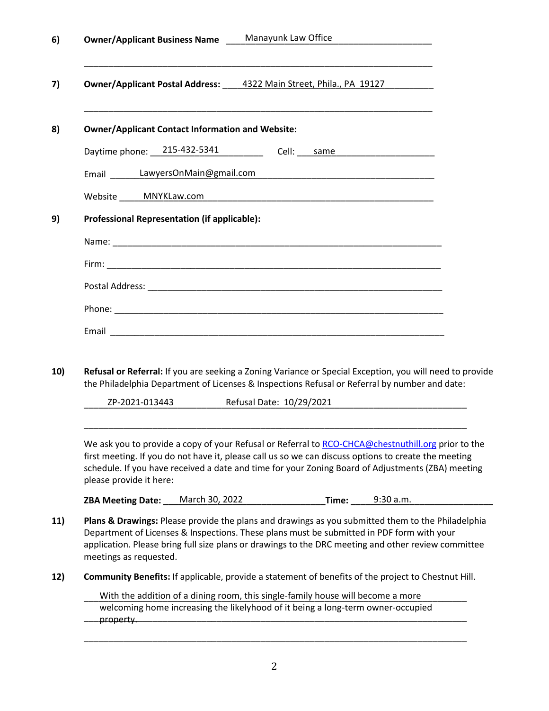| Manayunk Law Office<br><b>Owner/Applicant Business Name</b>                                                                                                                                                                                                                                                                                                                                                                                                                                                                                                                                           |  |
|-------------------------------------------------------------------------------------------------------------------------------------------------------------------------------------------------------------------------------------------------------------------------------------------------------------------------------------------------------------------------------------------------------------------------------------------------------------------------------------------------------------------------------------------------------------------------------------------------------|--|
| <b>Owner/Applicant Postal Address:</b> 4322 Main Street, Phila., PA 19127                                                                                                                                                                                                                                                                                                                                                                                                                                                                                                                             |  |
| <b>Owner/Applicant Contact Information and Website:</b>                                                                                                                                                                                                                                                                                                                                                                                                                                                                                                                                               |  |
| Daytime phone: 215-432-5341<br>Cell: same                                                                                                                                                                                                                                                                                                                                                                                                                                                                                                                                                             |  |
| Email _______LawyersOnMain@gmail.com                                                                                                                                                                                                                                                                                                                                                                                                                                                                                                                                                                  |  |
| Website MNYKLaw.com Management Control Management Control MNYKLaw.com                                                                                                                                                                                                                                                                                                                                                                                                                                                                                                                                 |  |
| Professional Representation (if applicable):                                                                                                                                                                                                                                                                                                                                                                                                                                                                                                                                                          |  |
|                                                                                                                                                                                                                                                                                                                                                                                                                                                                                                                                                                                                       |  |
|                                                                                                                                                                                                                                                                                                                                                                                                                                                                                                                                                                                                       |  |
|                                                                                                                                                                                                                                                                                                                                                                                                                                                                                                                                                                                                       |  |
|                                                                                                                                                                                                                                                                                                                                                                                                                                                                                                                                                                                                       |  |
|                                                                                                                                                                                                                                                                                                                                                                                                                                                                                                                                                                                                       |  |
|                                                                                                                                                                                                                                                                                                                                                                                                                                                                                                                                                                                                       |  |
| Refusal or Referral: If you are seeking a Zoning Variance or Special Exception, you will need to provide<br>the Philadelphia Department of Licenses & Inspections Refusal or Referral by number and date:<br>ZP-2021-013443<br>Refusal Date: 10/29/2021<br>We ask you to provide a copy of your Refusal or Referral to RCO-CHCA@chestnuthill.org prior to the<br>first meeting. If you do not have it, please call us so we can discuss options to create the meeting<br>schedule. If you have received a date and time for your Zoning Board of Adjustments (ZBA) meeting<br>please provide it here: |  |
| <b>Time:</b> 9:30 a.m.                                                                                                                                                                                                                                                                                                                                                                                                                                                                                                                                                                                |  |
| Plans & Drawings: Please provide the plans and drawings as you submitted them to the Philadelphia<br>Department of Licenses & Inspections. These plans must be submitted in PDF form with your<br>application. Please bring full size plans or drawings to the DRC meeting and other review committee<br>meetings as requested.                                                                                                                                                                                                                                                                       |  |
| Community Benefits: If applicable, provide a statement of benefits of the project to Chestnut Hill.                                                                                                                                                                                                                                                                                                                                                                                                                                                                                                   |  |
| With the addition of a dining room, this single-family house will become a more<br>welcoming home increasing the likelyhood of it being a long-term owner-occupied                                                                                                                                                                                                                                                                                                                                                                                                                                    |  |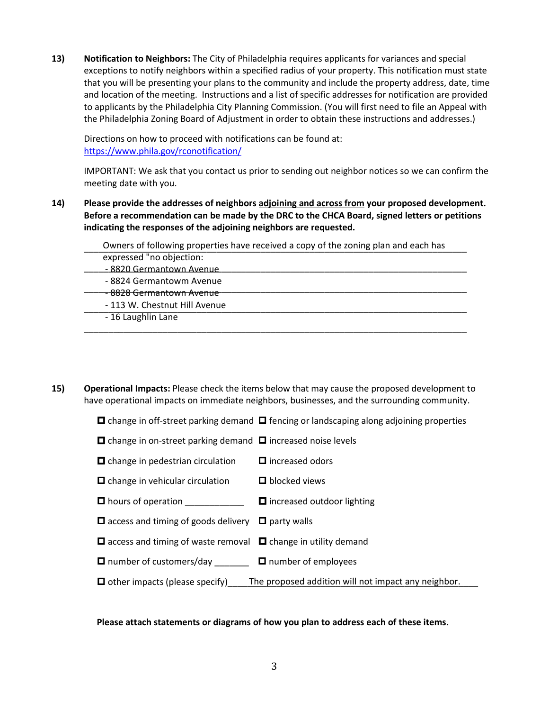**13) Notification to Neighbors:** The City of Philadelphia requires applicants for variances and special exceptions to notify neighbors within a specified radius of your property. This notification must state that you will be presenting your plans to the community and include the property address, date, time and location of the meeting. Instructions and a list of specific addresses for notification are provided to applicants by the Philadelphia City Planning Commission. (You will first need to file an Appeal with the Philadelphia Zoning Board of Adjustment in order to obtain these instructions and addresses.)

Directions on how to proceed with notifications can be found at: <https://www.phila.gov/rconotification/>

IMPORTANT: We ask that you contact us prior to sending out neighbor notices so we can confirm the meeting date with you.

**14) Please provide the addresses of neighbors adjoining and across from your proposed development. Before a recommendation can be made by the DRC to the CHCA Board, signed letters or petitions indicating the responses of the adjoining neighbors are requested.**

| Owners of following properties have received a copy of the zoning plan and each has |
|-------------------------------------------------------------------------------------|
| expressed "no objection:                                                            |
| - 8820 Germantown Avenue                                                            |
| -8824 Germantowm Avenue                                                             |
| <del>- 8828 Germantown Avenue</del>                                                 |
| - 113 W. Chestnut Hill Avenue                                                       |
| - 16 Laughlin Lane                                                                  |
|                                                                                     |

**15) Operational Impacts:** Please check the items below that may cause the proposed development to have operational impacts on immediate neighbors, businesses, and the surrounding community.

 $\Box$  change in off-street parking demand  $\Box$  fencing or landscaping along adjoining properties

 $\Box$  change in on-street parking demand  $\Box$  increased noise levels

- $\Box$  change in pedestrian circulation  $\Box$  increased odors
- $\Box$  change in vehicular circulation  $\Box$  blocked views
- $\Box$  hours of operation  $\Box$  increased outdoor lighting
- $\Box$  access and timing of goods delivery  $\Box$  party walls
- $\Box$  access and timing of waste removal  $\Box$  change in utility demand
- $\Box$  number of customers/day  $\Box$  number of employees
- **I** other impacts (please specify) The proposed addition will not impact any neighbor.

## **Please attach statements or diagrams of how you plan to address each of these items.**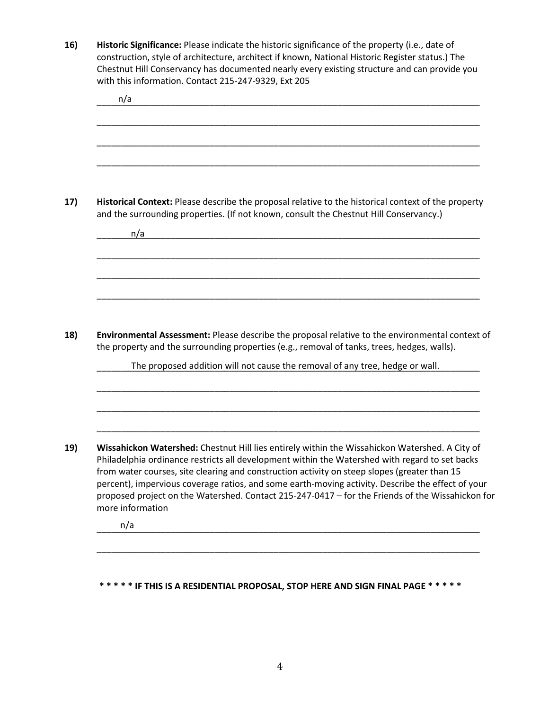**16) Historic Significance:** Please indicate the historic significance of the property (i.e., date of construction, style of architecture, architect if known, National Historic Register status.) The Chestnut Hill Conservancy has documented nearly every existing structure and can provide you with this information. Contact 215-247-9329, Ext 205

\_\_\_\_\_\_\_\_\_\_\_\_\_\_\_\_\_\_\_\_\_\_\_\_\_\_\_\_\_\_\_\_\_\_\_\_\_\_\_\_\_\_\_\_\_\_\_\_\_\_\_\_\_\_\_\_\_\_\_\_\_\_\_\_\_\_\_\_\_\_\_\_\_\_\_\_\_\_ \_\_\_\_\_\_\_\_\_\_\_\_\_\_\_\_\_\_\_\_\_\_\_\_\_\_\_\_\_\_\_\_\_\_\_\_\_\_\_\_\_\_\_\_\_\_\_\_\_\_\_\_\_\_\_\_\_\_\_\_\_\_\_\_\_\_\_\_\_\_\_\_\_\_\_\_\_\_ \_\_\_\_\_\_\_\_\_\_\_\_\_\_\_\_\_\_\_\_\_\_\_\_\_\_\_\_\_\_\_\_\_\_\_\_\_\_\_\_\_\_\_\_\_\_\_\_\_\_\_\_\_\_\_\_\_\_\_\_\_\_\_\_\_\_\_\_\_\_\_\_\_\_\_\_\_\_ \_\_\_\_\_\_\_\_\_\_\_\_\_\_\_\_\_\_\_\_\_\_\_\_\_\_\_\_\_\_\_\_\_\_\_\_\_\_\_\_\_\_\_\_\_\_\_\_\_\_\_\_\_\_\_\_\_\_\_\_\_\_\_\_\_\_\_\_\_\_\_\_\_\_\_\_\_\_ **17) Historical Context:** Please describe the proposal relative to the historical context of the property and the surrounding properties. (If not known, consult the Chestnut Hill Conservancy.) \_\_\_\_\_\_\_\_\_\_\_\_\_\_\_\_\_\_\_\_\_\_\_\_\_\_\_\_\_\_\_\_\_\_\_\_\_\_\_\_\_\_\_\_\_\_\_\_\_\_\_\_\_\_\_\_\_\_\_\_\_\_\_\_\_\_\_\_\_\_\_\_\_\_\_\_\_\_ \_\_\_\_\_\_\_\_\_\_\_\_\_\_\_\_\_\_\_\_\_\_\_\_\_\_\_\_\_\_\_\_\_\_\_\_\_\_\_\_\_\_\_\_\_\_\_\_\_\_\_\_\_\_\_\_\_\_\_\_\_\_\_\_\_\_\_\_\_\_\_\_\_\_\_\_\_\_ \_\_\_\_\_\_\_\_\_\_\_\_\_\_\_\_\_\_\_\_\_\_\_\_\_\_\_\_\_\_\_\_\_\_\_\_\_\_\_\_\_\_\_\_\_\_\_\_\_\_\_\_\_\_\_\_\_\_\_\_\_\_\_\_\_\_\_\_\_\_\_\_\_\_\_\_\_\_ \_\_\_\_\_\_\_\_\_\_\_\_\_\_\_\_\_\_\_\_\_\_\_\_\_\_\_\_\_\_\_\_\_\_\_\_\_\_\_\_\_\_\_\_\_\_\_\_\_\_\_\_\_\_\_\_\_\_\_\_\_\_\_\_\_\_\_\_\_\_\_\_\_\_\_\_\_\_ **18) Environmental Assessment:** Please describe the proposal relative to the environmental context of the property and the surrounding properties (e.g., removal of tanks, trees, hedges, walls). \_\_\_\_\_\_\_\_\_\_\_\_\_\_\_\_\_\_\_\_\_\_\_\_\_\_\_\_\_\_\_\_\_\_\_\_\_\_\_\_\_\_\_\_\_\_\_\_\_\_\_\_\_\_\_\_\_\_\_\_\_\_\_\_\_\_\_\_\_\_\_\_\_\_\_\_\_\_ The proposed addition will not cause the removal of any tree, hedge or wall. \_\_\_\_\_\_\_\_\_\_\_\_\_\_\_\_\_\_\_\_\_\_\_\_\_\_\_\_\_\_\_\_\_\_\_\_\_\_\_\_\_\_\_\_\_\_\_\_\_\_\_\_\_\_\_\_\_\_\_\_\_\_\_\_\_\_\_\_\_\_\_\_\_\_\_\_\_\_ \_\_\_\_\_\_\_\_\_\_\_\_\_\_\_\_\_\_\_\_\_\_\_\_\_\_\_\_\_\_\_\_\_\_\_\_\_\_\_\_\_\_\_\_\_\_\_\_\_\_\_\_\_\_\_\_\_\_\_\_\_\_\_\_\_\_\_\_\_\_\_\_\_\_\_\_\_\_ \_\_\_\_\_\_\_\_\_\_\_\_\_\_\_\_\_\_\_\_\_\_\_\_\_\_\_\_\_\_\_\_\_\_\_\_\_\_\_\_\_\_\_\_\_\_\_\_\_\_\_\_\_\_\_\_\_\_\_\_\_\_\_\_\_\_\_\_\_\_\_\_\_\_\_\_\_\_ **19) Wissahickon Watershed:** Chestnut Hill lies entirely within the Wissahickon Watershed. A City of Philadelphia ordinance restricts all development within the Watershed with regard to set backs from water courses, site clearing and construction activity on steep slopes (greater than 15 percent), impervious coverage ratios, and some earth-moving activity. Describe the effect of your proposed project on the Watershed. Contact 215-247-0417 – for the Friends of the Wissahickon for more information \_\_\_\_\_\_\_\_\_\_\_\_\_\_\_\_\_\_\_\_\_\_\_\_\_\_\_\_\_\_\_\_\_\_\_\_\_\_\_\_\_\_\_\_\_\_\_\_\_\_\_\_\_\_\_\_\_\_\_\_\_\_\_\_\_\_\_\_\_\_\_\_\_\_\_\_\_\_ \_\_\_\_\_\_\_\_\_\_\_\_\_\_\_\_\_\_\_\_\_\_\_\_\_\_\_\_\_\_\_\_\_\_\_\_\_\_\_\_\_\_\_\_\_\_\_\_\_\_\_\_\_\_\_\_\_\_\_\_\_\_\_\_\_\_\_\_\_\_\_\_\_\_\_\_\_\_ n/a n/a n/a

**\* \* \* \* \* IF THIS IS A RESIDENTIAL PROPOSAL, STOP HERE AND SIGN FINAL PAGE \* \* \* \* \***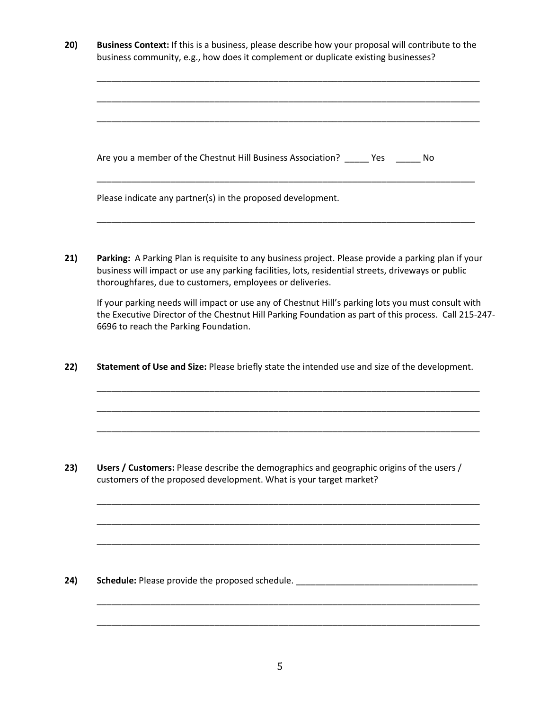| 20) | <b>Business Context:</b> If this is a business, please describe how your proposal will contribute to the |
|-----|----------------------------------------------------------------------------------------------------------|
|     | business community, e.g., how does it complement or duplicate existing businesses?                       |

| Are you a member of the Chestnut Hill Business Association? _______ Yes<br>- No |  |
|---------------------------------------------------------------------------------|--|
| Please indicate any partner(s) in the proposed development.                     |  |

\_\_\_\_\_\_\_\_\_\_\_\_\_\_\_\_\_\_\_\_\_\_\_\_\_\_\_\_\_\_\_\_\_\_\_\_\_\_\_\_\_\_\_\_\_\_\_\_\_\_\_\_\_\_\_\_\_\_\_\_\_\_\_\_\_\_\_\_\_\_\_\_\_\_\_\_\_\_

**21) Parking:** A Parking Plan is requisite to any business project. Please provide a parking plan if your business will impact or use any parking facilities, lots, residential streets, driveways or public thoroughfares, due to customers, employees or deliveries.

If your parking needs will impact or use any of Chestnut Hill's parking lots you must consult with the Executive Director of the Chestnut Hill Parking Foundation as part of this process. Call 215-247- 6696 to reach the Parking Foundation.

\_\_\_\_\_\_\_\_\_\_\_\_\_\_\_\_\_\_\_\_\_\_\_\_\_\_\_\_\_\_\_\_\_\_\_\_\_\_\_\_\_\_\_\_\_\_\_\_\_\_\_\_\_\_\_\_\_\_\_\_\_\_\_\_\_\_\_\_\_\_\_\_\_\_\_\_\_\_

\_\_\_\_\_\_\_\_\_\_\_\_\_\_\_\_\_\_\_\_\_\_\_\_\_\_\_\_\_\_\_\_\_\_\_\_\_\_\_\_\_\_\_\_\_\_\_\_\_\_\_\_\_\_\_\_\_\_\_\_\_\_\_\_\_\_\_\_\_\_\_\_\_\_\_\_\_\_

\_\_\_\_\_\_\_\_\_\_\_\_\_\_\_\_\_\_\_\_\_\_\_\_\_\_\_\_\_\_\_\_\_\_\_\_\_\_\_\_\_\_\_\_\_\_\_\_\_\_\_\_\_\_\_\_\_\_\_\_\_\_\_\_\_\_\_\_\_\_\_\_\_\_\_\_\_\_

\_\_\_\_\_\_\_\_\_\_\_\_\_\_\_\_\_\_\_\_\_\_\_\_\_\_\_\_\_\_\_\_\_\_\_\_\_\_\_\_\_\_\_\_\_\_\_\_\_\_\_\_\_\_\_\_\_\_\_\_\_\_\_\_\_\_\_\_\_\_\_\_\_\_\_\_\_\_

\_\_\_\_\_\_\_\_\_\_\_\_\_\_\_\_\_\_\_\_\_\_\_\_\_\_\_\_\_\_\_\_\_\_\_\_\_\_\_\_\_\_\_\_\_\_\_\_\_\_\_\_\_\_\_\_\_\_\_\_\_\_\_\_\_\_\_\_\_\_\_\_\_\_\_\_\_\_

\_\_\_\_\_\_\_\_\_\_\_\_\_\_\_\_\_\_\_\_\_\_\_\_\_\_\_\_\_\_\_\_\_\_\_\_\_\_\_\_\_\_\_\_\_\_\_\_\_\_\_\_\_\_\_\_\_\_\_\_\_\_\_\_\_\_\_\_\_\_\_\_\_\_\_\_\_\_

\_\_\_\_\_\_\_\_\_\_\_\_\_\_\_\_\_\_\_\_\_\_\_\_\_\_\_\_\_\_\_\_\_\_\_\_\_\_\_\_\_\_\_\_\_\_\_\_\_\_\_\_\_\_\_\_\_\_\_\_\_\_\_\_\_\_\_\_\_\_\_\_\_\_\_\_\_\_

\_\_\_\_\_\_\_\_\_\_\_\_\_\_\_\_\_\_\_\_\_\_\_\_\_\_\_\_\_\_\_\_\_\_\_\_\_\_\_\_\_\_\_\_\_\_\_\_\_\_\_\_\_\_\_\_\_\_\_\_\_\_\_\_\_\_\_\_\_\_\_\_\_\_\_\_\_\_

**22) Statement of Use and Size:** Please briefly state the intended use and size of the development.

**23) Users / Customers:** Please describe the demographics and geographic origins of the users / customers of the proposed development. What is your target market?

24) Schedule: Please provide the proposed schedule. \_\_\_\_\_\_\_\_\_\_\_\_\_\_\_\_\_\_\_\_\_\_\_\_\_\_\_\_\_\_\_\_\_\_\_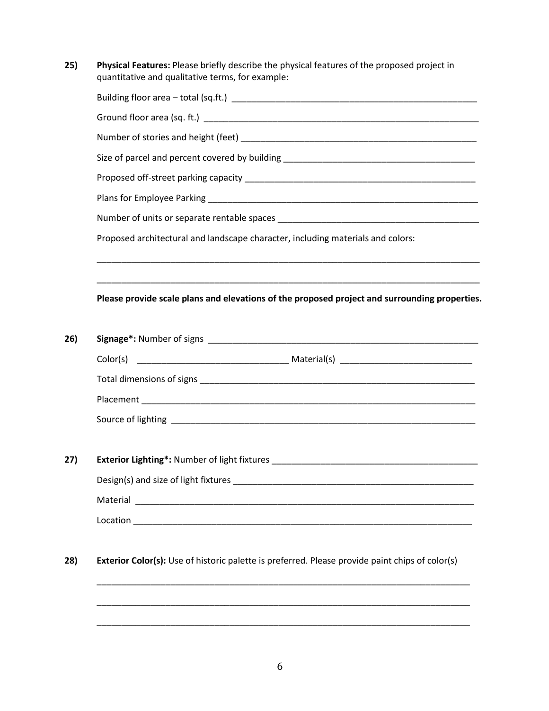**25) Physical Features:** Please briefly describe the physical features of the proposed project in quantitative and qualitative terms, for example:

|          | Size of parcel and percent covered by building __________________________________                                    |
|----------|----------------------------------------------------------------------------------------------------------------------|
|          |                                                                                                                      |
|          |                                                                                                                      |
|          |                                                                                                                      |
|          | Proposed architectural and landscape character, including materials and colors:                                      |
|          | Please provide scale plans and elevations of the proposed project and surrounding properties.                        |
|          |                                                                                                                      |
|          |                                                                                                                      |
|          |                                                                                                                      |
|          |                                                                                                                      |
|          |                                                                                                                      |
|          |                                                                                                                      |
|          |                                                                                                                      |
|          |                                                                                                                      |
| Material | <u> 2000 - Jan James James Jan James James James James James James James James James James James James James Jam</u> |

\_\_\_\_\_\_\_\_\_\_\_\_\_\_\_\_\_\_\_\_\_\_\_\_\_\_\_\_\_\_\_\_\_\_\_\_\_\_\_\_\_\_\_\_\_\_\_\_\_\_\_\_\_\_\_\_\_\_\_\_\_\_\_\_\_\_\_\_\_\_\_\_\_\_\_\_